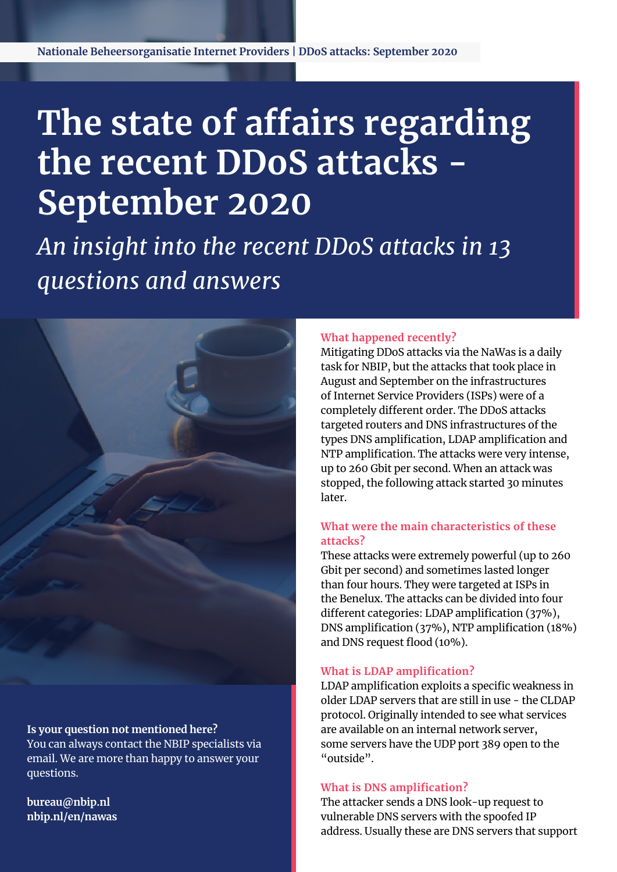**Nationale Beheersorganisatie Internet Providers | DDoS attacks: September 2020**

# **The state of affairs regarding the recent DDoS attacks - September 2020**

*An insight into the recent DDoS attacks in 13 questions and answers*



**Is your question not mentioned here?**  You can always contact the NBIP specialists via email. We are more than happy to answer your questions.

**[bureau@nbip.nl](mailto:bureau%40nbip.nl%20?subject=) [nbip.nl/](http://www.nbip.nl/nawas)en/nawas**

#### **What happened recently?**

Mitigating DDoS attacks via the NaWas is a daily task for NBIP, but the attacks that took place in August and September on the infrastructures of Internet Service Providers (ISPs) were of a completely different order. The DDoS attacks targeted routers and DNS infrastructures of the types DNS amplification, LDAP amplification and NTP amplification. The attacks were very intense, up to 260 Gbit per second. When an attack was stopped, the following attack started 30 minutes later.

# **What were the main characteristics of these attacks?**

These attacks were extremely powerful (up to 260 Gbit per second) and sometimes lasted longer than four hours. They were targeted at ISPs in the Benelux. The attacks can be divided into four different categories: LDAP amplification (37%), DNS amplification (37%), NTP amplification (18%) and DNS request flood (10%).

## **What is LDAP amplification?**

LDAP amplification exploits a specific weakness in older LDAP servers that are still in use - the CLDAP protocol. Originally intended to see what services are available on an internal network server, some servers have the UDP port 389 open to the "outside".

#### **What is DNS amplification?**

The attacker sends a DNS look-up request to vulnerable DNS servers with the spoofed IP address. Usually these are DNS servers that support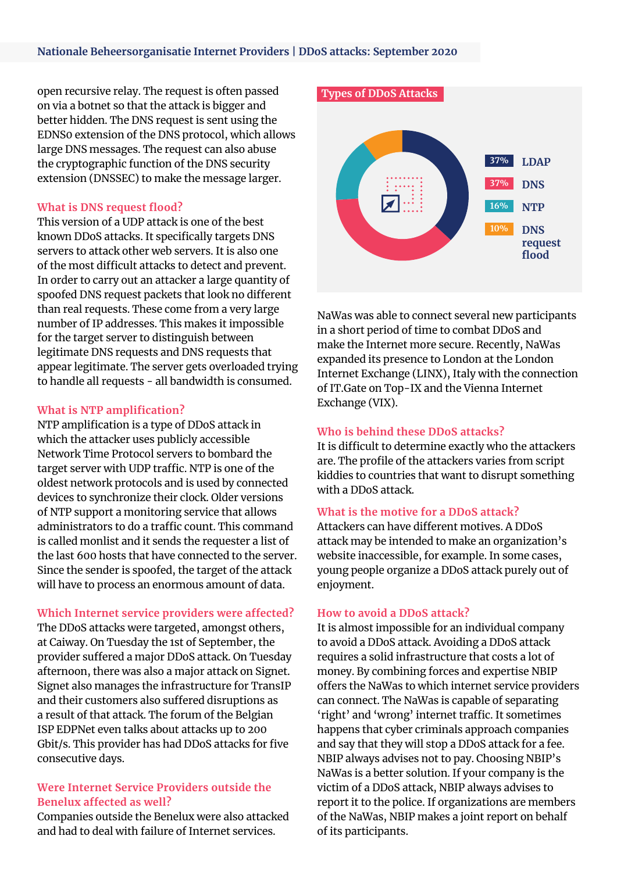#### **Nationale Beheersorganisatie Internet Providers | DDoS attacks: September 2020**

open recursive relay. The request is often passed on via a botnet so that the attack is bigger and better hidden. The DNS request is sent using the EDNS0 extension of the DNS protocol, which allows large DNS messages. The request can also abuse the cryptographic function of the DNS security extension (DNSSEC) to make the message larger.

#### **What is DNS request flood?**

This version of a UDP attack is one of the best known DDoS attacks. It specifically targets DNS servers to attack other web servers. It is also one of the most difficult attacks to detect and prevent. In order to carry out an attacker a large quantity of spoofed DNS request packets that look no different than real requests. These come from a very large number of IP addresses. This makes it impossible for the target server to distinguish between legitimate DNS requests and DNS requests that appear legitimate. The server gets overloaded trying to handle all requests - all bandwidth is consumed.

#### **What is NTP amplification?**

NTP amplification is a type of DDoS attack in which the attacker uses publicly accessible Network Time Protocol servers to bombard the target server with UDP traffic. NTP is one of the oldest network protocols and is used by connected devices to synchronize their clock. Older versions of NTP support a monitoring service that allows administrators to do a traffic count. This command is called monlist and it sends the requester a list of the last 600 hosts that have connected to the server. Since the sender is spoofed, the target of the attack will have to process an enormous amount of data.

## **Which Internet service providers were affected?**

The DDoS attacks were targeted, amongst others, at Caiway. On Tuesday the 1st of September, the provider suffered a major DDoS attack. On Tuesday afternoon, there was also a major attack on Signet. Signet also manages the infrastructure for TransIP and their customers also suffered disruptions as a result of that attack. The forum of the Belgian ISP EDPNet even talks about attacks up to 200 Gbit/s. This provider has had DDoS attacks for five consecutive days.

# **Were Internet Service Providers outside the Benelux affected as well?**

Companies outside the Benelux were also attacked and had to deal with failure of Internet services.



NaWas was able to connect several new participants in a short period of time to combat DDoS and make the Internet more secure. Recently, NaWas expanded its presence to London at the London Internet Exchange (LINX), Italy with the connection of IT.Gate on Top-IX and the Vienna Internet Exchange (VIX).

## **Who is behind these DDoS attacks?**

It is difficult to determine exactly who the attackers are. The profile of the attackers varies from script kiddies to countries that want to disrupt something with a DDoS attack.

## **What is the motive for a DDoS attack?**

Attackers can have different motives. A DDoS attack may be intended to make an organization's website inaccessible, for example. In some cases, young people organize a DDoS attack purely out of enjoyment.

## **How to avoid a DDoS attack?**

It is almost impossible for an individual company to avoid a DDoS attack. Avoiding a DDoS attack requires a solid infrastructure that costs a lot of money. By combining forces and expertise NBIP offers the NaWas to which internet service providers can connect. The NaWas is capable of separating 'right' and 'wrong' internet traffic. It sometimes happens that cyber criminals approach companies and say that they will stop a DDoS attack for a fee. NBIP always advises not to pay. Choosing NBIP's NaWas is a better solution. If your company is the victim of a DDoS attack, NBIP always advises to report it to the police. If organizations are members of the NaWas, NBIP makes a joint report on behalf of its participants.